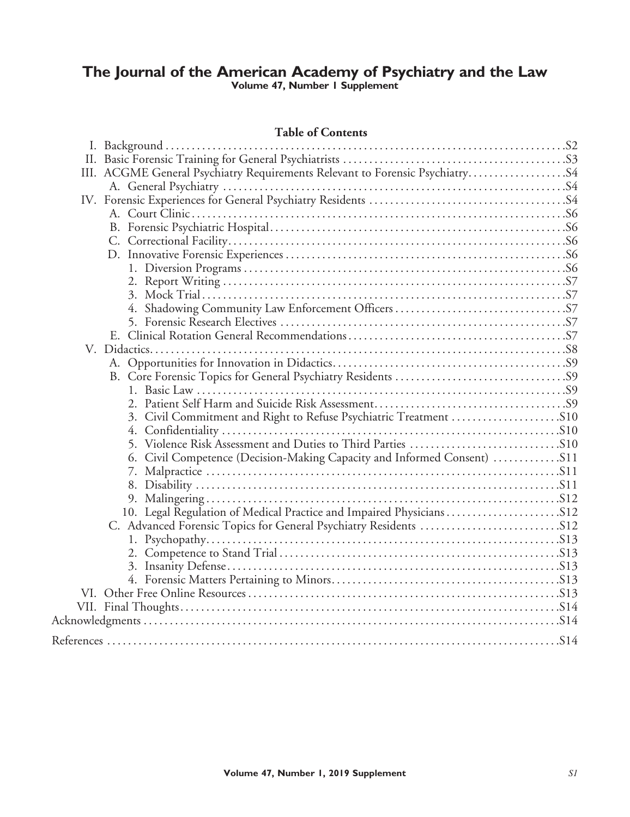## **The Journal of the American Academy of Psychiatry and the Law Volume 47, Number 1 Supplement**

## **Table of Contents**

| III. ACGME General Psychiatry Requirements Relevant to Forensic Psychiatry S4 |  |
|-------------------------------------------------------------------------------|--|
|                                                                               |  |
|                                                                               |  |
|                                                                               |  |
|                                                                               |  |
|                                                                               |  |
|                                                                               |  |
|                                                                               |  |
|                                                                               |  |
|                                                                               |  |
|                                                                               |  |
|                                                                               |  |
|                                                                               |  |
|                                                                               |  |
|                                                                               |  |
|                                                                               |  |
|                                                                               |  |
|                                                                               |  |
| 3. Civil Commitment and Right to Refuse Psychiatric Treatment S10             |  |
|                                                                               |  |
|                                                                               |  |
|                                                                               |  |
|                                                                               |  |
|                                                                               |  |
|                                                                               |  |
|                                                                               |  |
|                                                                               |  |
|                                                                               |  |
|                                                                               |  |
|                                                                               |  |
|                                                                               |  |
|                                                                               |  |
|                                                                               |  |
|                                                                               |  |
|                                                                               |  |
|                                                                               |  |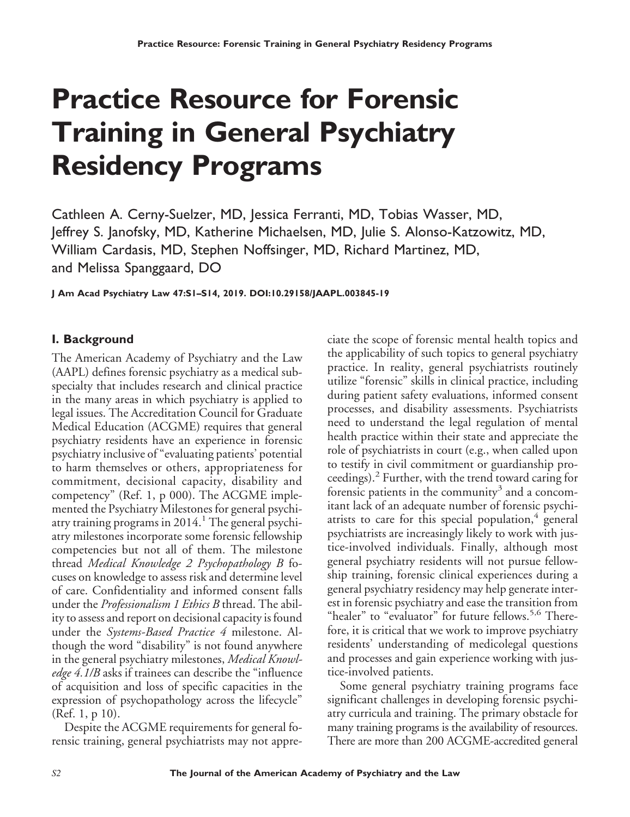# **Practice Resource for Forensic Training in General Psychiatry Residency Programs**

Cathleen A. Cerny-Suelzer, MD, Jessica Ferranti, MD, Tobias Wasser, MD, Jeffrey S. Janofsky, MD, Katherine Michaelsen, MD, Julie S. Alonso-Katzowitz, MD, William Cardasis, MD, Stephen Noffsinger, MD, Richard Martinez, MD, and Melissa Spanggaard, DO

**J Am Acad Psychiatry Law 47:S1–S14, 2019. DOI:10.29158/JAAPL.003845-19**

## **I. Background**

The American Academy of Psychiatry and the Law (AAPL) defines forensic psychiatry as a medical subspecialty that includes research and clinical practice in the many areas in which psychiatry is applied to legal issues. The Accreditation Council for Graduate Medical Education (ACGME) requires that general psychiatry residents have an experience in forensic psychiatry inclusive of "evaluating patients' potential to harm themselves or others, appropriateness for commitment, decisional capacity, disability and competency" (Ref. 1, p 000). The ACGME implemented the Psychiatry Milestones for general psychiatry training programs in  $2014<sup>1</sup>$ . The general psychiatry milestones incorporate some forensic fellowship competencies but not all of them. The milestone thread *Medical Knowledge 2 Psychopathology B* focuses on knowledge to assess risk and determine level of care. Confidentiality and informed consent falls under the *Professionalism 1 Ethics B* thread. The ability to assess and report on decisional capacity is found under the *Systems-Based Practice 4* milestone. Although the word "disability" is not found anywhere in the general psychiatry milestones, *Medical Knowledge 4.1/B* asks if trainees can describe the "influence of acquisition and loss of specific capacities in the expression of psychopathology across the lifecycle" (Ref. 1, p 10).

Despite the ACGME requirements for general forensic training, general psychiatrists may not appreciate the scope of forensic mental health topics and the applicability of such topics to general psychiatry practice. In reality, general psychiatrists routinely utilize "forensic" skills in clinical practice, including during patient safety evaluations, informed consent processes, and disability assessments. Psychiatrists need to understand the legal regulation of mental health practice within their state and appreciate the role of psychiatrists in court (e.g., when called upon to testify in civil commitment or guardianship proceedings). $^2$  Further, with the trend toward caring for forensic patients in the community<sup>3</sup> and a concomitant lack of an adequate number of forensic psychiatrists to care for this special population, $4$  general psychiatrists are increasingly likely to work with justice-involved individuals. Finally, although most general psychiatry residents will not pursue fellowship training, forensic clinical experiences during a general psychiatry residency may help generate interest in forensic psychiatry and ease the transition from "healer" to "evaluator" for future fellows.<sup>5,6</sup> Therefore, it is critical that we work to improve psychiatry residents' understanding of medicolegal questions and processes and gain experience working with justice-involved patients.

Some general psychiatry training programs face significant challenges in developing forensic psychiatry curricula and training. The primary obstacle for many training programs is the availability of resources. There are more than 200 ACGME-accredited general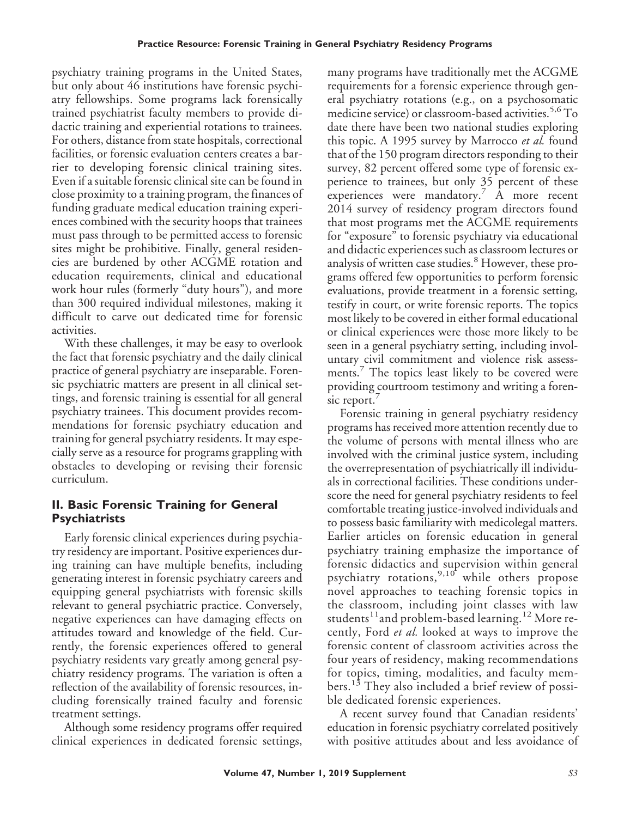psychiatry training programs in the United States, but only about 46 institutions have forensic psychiatry fellowships. Some programs lack forensically trained psychiatrist faculty members to provide didactic training and experiential rotations to trainees. For others, distance from state hospitals, correctional facilities, or forensic evaluation centers creates a barrier to developing forensic clinical training sites. Even if a suitable forensic clinical site can be found in close proximity to a training program, the finances of funding graduate medical education training experiences combined with the security hoops that trainees must pass through to be permitted access to forensic sites might be prohibitive. Finally, general residencies are burdened by other ACGME rotation and education requirements, clinical and educational work hour rules (formerly "duty hours"), and more than 300 required individual milestones, making it difficult to carve out dedicated time for forensic activities.

With these challenges, it may be easy to overlook the fact that forensic psychiatry and the daily clinical practice of general psychiatry are inseparable. Forensic psychiatric matters are present in all clinical settings, and forensic training is essential for all general psychiatry trainees. This document provides recommendations for forensic psychiatry education and training for general psychiatry residents. It may especially serve as a resource for programs grappling with obstacles to developing or revising their forensic curriculum.

## **II. Basic Forensic Training for General Psychiatrists**

Early forensic clinical experiences during psychiatry residency are important. Positive experiences during training can have multiple benefits, including generating interest in forensic psychiatry careers and equipping general psychiatrists with forensic skills relevant to general psychiatric practice. Conversely, negative experiences can have damaging effects on attitudes toward and knowledge of the field. Currently, the forensic experiences offered to general psychiatry residents vary greatly among general psychiatry residency programs. The variation is often a reflection of the availability of forensic resources, including forensically trained faculty and forensic treatment settings.

Although some residency programs offer required clinical experiences in dedicated forensic settings,

many programs have traditionally met the ACGME requirements for a forensic experience through general psychiatry rotations (e.g., on a psychosomatic medicine service) or classroom-based activities.<sup>5,6</sup>To date there have been two national studies exploring this topic. A 1995 survey by Marrocco *et al.* found that of the 150 program directors responding to their survey, 82 percent offered some type of forensic experience to trainees, but only 35 percent of these experiences were mandatory.<sup>7</sup>  $\overrightarrow{A}$  more recent 2014 survey of residency program directors found that most programs met the ACGME requirements for "exposure" to forensic psychiatry via educational and didactic experiences such as classroom lectures or analysis of written case studies.<sup>8</sup> However, these programs offered few opportunities to perform forensic evaluations, provide treatment in a forensic setting, testify in court, or write forensic reports. The topics most likely to be covered in either formal educational or clinical experiences were those more likely to be seen in a general psychiatry setting, including involuntary civil commitment and violence risk assessments.<sup>7</sup> The topics least likely to be covered were providing courtroom testimony and writing a forensic report.

Forensic training in general psychiatry residency programs has received more attention recently due to the volume of persons with mental illness who are involved with the criminal justice system, including the overrepresentation of psychiatrically ill individuals in correctional facilities. These conditions underscore the need for general psychiatry residents to feel comfortable treating justice-involved individuals and to possess basic familiarity with medicolegal matters. Earlier articles on forensic education in general psychiatry training emphasize the importance of forensic didactics and supervision within general psychiatry rotations,  $9,10^4$  while others propose novel approaches to teaching forensic topics in the classroom, including joint classes with law students<sup>11</sup> and problem-based learning.<sup>12</sup> More recently, Ford *et al.* looked at ways to improve the forensic content of classroom activities across the four years of residency, making recommendations for topics, timing, modalities, and faculty members.<sup>13</sup> They also included a brief review of possible dedicated forensic experiences.

A recent survey found that Canadian residents' education in forensic psychiatry correlated positively with positive attitudes about and less avoidance of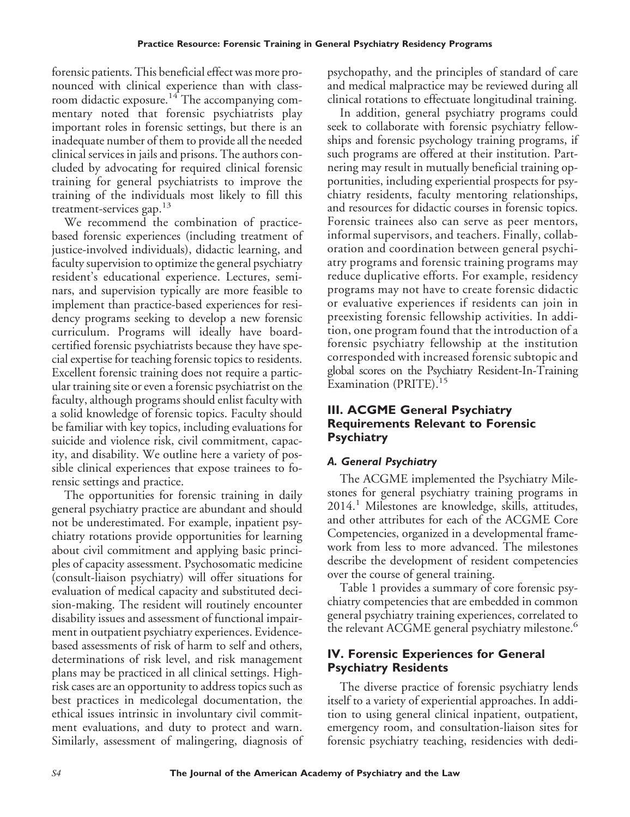forensic patients. This beneficial effect was more pronounced with clinical experience than with classroom didactic exposure.<sup>14</sup> The accompanying commentary noted that forensic psychiatrists play important roles in forensic settings, but there is an inadequate number of them to provide all the needed clinical services in jails and prisons. The authors concluded by advocating for required clinical forensic training for general psychiatrists to improve the training of the individuals most likely to fill this treatment-services gap. $13$ 

We recommend the combination of practicebased forensic experiences (including treatment of justice-involved individuals), didactic learning, and faculty supervision to optimize the general psychiatry resident's educational experience. Lectures, seminars, and supervision typically are more feasible to implement than practice-based experiences for residency programs seeking to develop a new forensic curriculum. Programs will ideally have boardcertified forensic psychiatrists because they have special expertise for teaching forensic topics to residents. Excellent forensic training does not require a particular training site or even a forensic psychiatrist on the faculty, although programs should enlist faculty with a solid knowledge of forensic topics. Faculty should be familiar with key topics, including evaluations for suicide and violence risk, civil commitment, capacity, and disability. We outline here a variety of possible clinical experiences that expose trainees to forensic settings and practice.

The opportunities for forensic training in daily general psychiatry practice are abundant and should not be underestimated. For example, inpatient psychiatry rotations provide opportunities for learning about civil commitment and applying basic principles of capacity assessment. Psychosomatic medicine (consult-liaison psychiatry) will offer situations for evaluation of medical capacity and substituted decision-making. The resident will routinely encounter disability issues and assessment of functional impairment in outpatient psychiatry experiences. Evidencebased assessments of risk of harm to self and others, determinations of risk level, and risk management plans may be practiced in all clinical settings. Highrisk cases are an opportunity to address topics such as best practices in medicolegal documentation, the ethical issues intrinsic in involuntary civil commitment evaluations, and duty to protect and warn. Similarly, assessment of malingering, diagnosis of psychopathy, and the principles of standard of care and medical malpractice may be reviewed during all clinical rotations to effectuate longitudinal training.

In addition, general psychiatry programs could seek to collaborate with forensic psychiatry fellowships and forensic psychology training programs, if such programs are offered at their institution. Partnering may result in mutually beneficial training opportunities, including experiential prospects for psychiatry residents, faculty mentoring relationships, and resources for didactic courses in forensic topics. Forensic trainees also can serve as peer mentors, informal supervisors, and teachers. Finally, collaboration and coordination between general psychiatry programs and forensic training programs may reduce duplicative efforts. For example, residency programs may not have to create forensic didactic or evaluative experiences if residents can join in preexisting forensic fellowship activities. In addition, one program found that the introduction of a forensic psychiatry fellowship at the institution corresponded with increased forensic subtopic and global scores on the Psychiatry Resident-In-Training Examination (PRITE).<sup>15</sup>

## **III. ACGME General Psychiatry Requirements Relevant to Forensic Psychiatry**

## *A. General Psychiatry*

The ACGME implemented the Psychiatry Milestones for general psychiatry training programs in 2014.<sup>1</sup> Milestones are knowledge, skills, attitudes, and other attributes for each of the ACGME Core Competencies, organized in a developmental framework from less to more advanced. The milestones describe the development of resident competencies over the course of general training.

Table 1 provides a summary of core forensic psychiatry competencies that are embedded in common general psychiatry training experiences, correlated to the relevant ACGME general psychiatry milestone.<sup>6</sup>

## **IV. Forensic Experiences for General Psychiatry Residents**

The diverse practice of forensic psychiatry lends itself to a variety of experiential approaches. In addition to using general clinical inpatient, outpatient, emergency room, and consultation-liaison sites for forensic psychiatry teaching, residencies with dedi-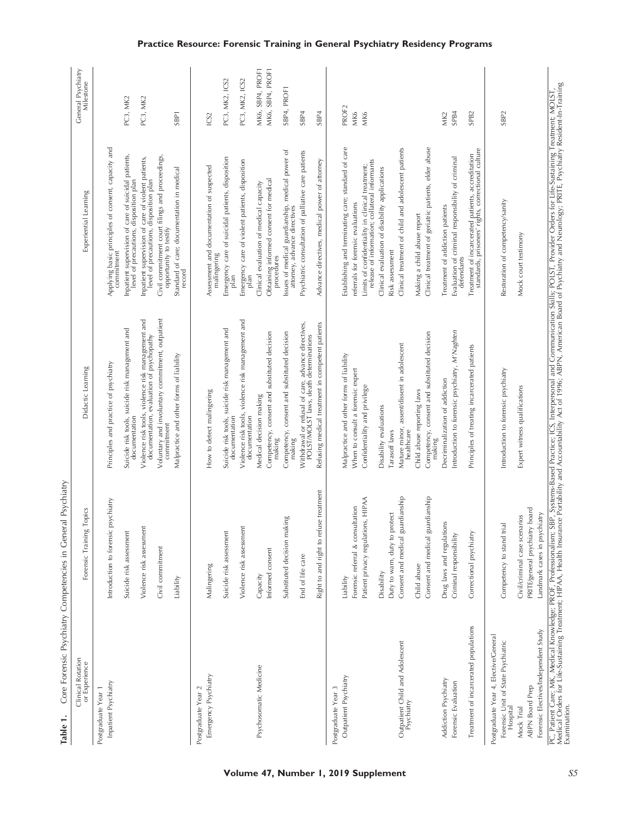Table 1. Core Forensic Psychiatry Competencies in General Psychiatry **Table 1.** Core Forensic Psychiatry Competencies in General Psychiatry

| Clinical Rotation<br>or Experience                                                      | Forensic Training Topics               | Didactic Learning                                                                                                                                                                                                                 | Experiential Learning                                                                                   | General Psychiatry<br>Milestone |
|-----------------------------------------------------------------------------------------|----------------------------------------|-----------------------------------------------------------------------------------------------------------------------------------------------------------------------------------------------------------------------------------|---------------------------------------------------------------------------------------------------------|---------------------------------|
| Inpatient Psychiatry<br>Postgraduate Year 1                                             | Introduction to forensic psychiatry    | Principles and practice of psychiatry                                                                                                                                                                                             | Applying basic principles of consent, capacity and<br>commitment                                        |                                 |
|                                                                                         | Suicide risk assessment                | Suicide risk tools, suicide risk management and<br>documentation                                                                                                                                                                  | Inpatient supervision of care of suicidal patients,<br>level of precautions, disposition plan           | PC3, MK2                        |
|                                                                                         | Violence risk assessment               | Violence risk tools, violence risk management and<br>documentation, evaluation of psychopathy                                                                                                                                     | Inpatient supervision of care of violent patients,<br>level of precautions, disposition plan            | PC3, MK2                        |
|                                                                                         | Civil commitment                       | Voluntary and involuntary commitment, outpatient<br>commitment                                                                                                                                                                    | Civil commitment court filings and proceedings,<br>opportunity to testify                               |                                 |
|                                                                                         | Liability                              | Malpractice and other forms of liability                                                                                                                                                                                          | Standard of care; documentation in medical<br>record                                                    | SBP <sub>1</sub>                |
| Emergency Psychiatry<br>Postgraduate Year 2                                             | Malingering                            | How to detect malingering                                                                                                                                                                                                         | Assessment and documentation of suspected                                                               | ICS2                            |
|                                                                                         | Suicide risk assessment                | Suicide risk tools, suicide risk management and                                                                                                                                                                                   | Emergency care of suicidal patients, disposition<br>malingering                                         | PC3, MK2, ICS2                  |
|                                                                                         |                                        | documentation                                                                                                                                                                                                                     | plan                                                                                                    |                                 |
|                                                                                         | Violence risk assessment               | Violence risk tools, violence risk management and<br>documentation                                                                                                                                                                | Emergency care of violent patients, disposition<br>plan                                                 | PC3, MK2, ICS2                  |
| Psychosomatic Medicine                                                                  | Capacity                               | Medical decision making                                                                                                                                                                                                           | Clinical evaluation of medical capacity                                                                 | MK6, SBP4, PROF1                |
|                                                                                         | Informed consent                       | Competency, consent and substituted decision<br>making                                                                                                                                                                            | Obtaining informed consent for medical<br>procedures                                                    | MK6, SBP4, PROF1                |
|                                                                                         | Substituted decision making            | Competency, consent and substituted decision<br>making                                                                                                                                                                            | Issues of medical guardianship, medical power of<br>attorney, advance directives                        | SBP4, PROF1                     |
|                                                                                         | End of life care                       | Withdrawal or refusal of care, advance directives,<br>POLST/MOLST laws, death determinations                                                                                                                                      | Psychiatric consultation of palliative care patients                                                    | SBP <sub>4</sub>                |
|                                                                                         | Right to and right to refuse treatment | Refusing medical treatment in competent patients                                                                                                                                                                                  | Advance directives, medical power of attomey                                                            | SBP4                            |
| Postgraduate Year 3                                                                     |                                        |                                                                                                                                                                                                                                   |                                                                                                         |                                 |
| Outpatient Psychiatry                                                                   | Liability                              | Malpractice and other forms of liability                                                                                                                                                                                          | Establishing and terminating care; standard of care                                                     | PROF <sub>2</sub>               |
|                                                                                         | Forensic referral & consultation       | When to consult a forensic expert                                                                                                                                                                                                 | referrals for forensic evaluations                                                                      | <b>MK6</b>                      |
|                                                                                         | Patient privacy regulations, HIPAA     | Confidentiality and privilege                                                                                                                                                                                                     | release of information; collateral informants<br>Limits of confidentiality in clinical treatment;       | MK6                             |
|                                                                                         | Disability                             | Disability evaluations                                                                                                                                                                                                            | Clinical evaluation of disability applications                                                          |                                 |
|                                                                                         | protect<br>Duty to warn, duty to       | Tarasoff laws                                                                                                                                                                                                                     | Risk assessment                                                                                         |                                 |
| Outpatient Child and Adolescent<br>Psychiatry                                           | Consent and medical guardianship       | Mature minor, assent/dissent in adolescent<br>healthcare                                                                                                                                                                          | Clinical treatment of child and adolescent patients                                                     |                                 |
|                                                                                         | Child abuse                            | Child abuse reporting laws                                                                                                                                                                                                        | Making a child abuse report                                                                             |                                 |
|                                                                                         | Consent and medical guardianship       | Competency, consent and substituted decision<br>making                                                                                                                                                                            | Clinical treatment of geriatric patients, elder abuse                                                   |                                 |
| Addiction Psychiatry                                                                    | Drug laws and regulations              | Decriminalization of addiction                                                                                                                                                                                                    | Treatment of addiction patients                                                                         | MK <sub>2</sub>                 |
| Forensic Evaluation                                                                     | Criminal responsibility                | Introduction to forensic psychiatry, M'Naghten                                                                                                                                                                                    | Evaluation of criminal responsibility of criminal<br>defendants                                         | SP <sub>B4</sub>                |
| Treatment of incarcerated populations                                                   | Correctional psychiatry                | Principles of treating incarcerated patients                                                                                                                                                                                      | Treatment of incarcerated patients, accreditation<br>standards, prisoners' rights, correctional culture | SPB <sub>2</sub>                |
| Postgraduate Year 4, Elective/General<br>Forensic Unit of State Psychiatric<br>Hospital | Competency to stand trial              | Introduction to forensic psychiatry                                                                                                                                                                                               | Restoration of competency/sanity                                                                        | SBP <sub>2</sub>                |
| Mock Trial                                                                              | Civil/criminal case scenarios          | Expert witness qualifications                                                                                                                                                                                                     | Mock court testimony                                                                                    |                                 |
| <b>ABPN Board Prep</b>                                                                  | PRITE/general psychiatry board         |                                                                                                                                                                                                                                   |                                                                                                         |                                 |
| Forensic Electives/Independent Study                                                    | Landmark cases in psychiatry           |                                                                                                                                                                                                                                   |                                                                                                         |                                 |
| Examination.                                                                            |                                        | PC, Patient Care; MK, Medical Knowledge; PROF, Professionalism; SBP, Systems-Based Practice; ICS, Interpersonal and Communication Skills; POLST, Provider Orders for Life-Sustaining Treatment; MOLST,<br>Medical Orders for Life |                                                                                                         |                                 |

#### **Practice Resource: Forensic Training in General Psychiatry Residency Programs**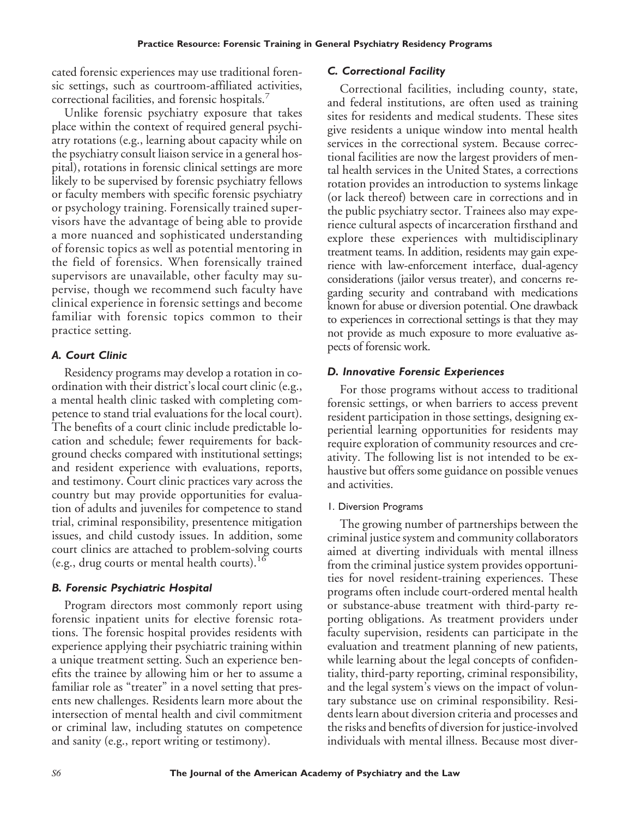cated forensic experiences may use traditional forensic settings, such as courtroom-affiliated activities, correctional facilities, and forensic hospitals.<sup>7</sup>

Unlike forensic psychiatry exposure that takes place within the context of required general psychiatry rotations (e.g., learning about capacity while on the psychiatry consult liaison service in a general hospital), rotations in forensic clinical settings are more likely to be supervised by forensic psychiatry fellows or faculty members with specific forensic psychiatry or psychology training. Forensically trained supervisors have the advantage of being able to provide a more nuanced and sophisticated understanding of forensic topics as well as potential mentoring in the field of forensics. When forensically trained supervisors are unavailable, other faculty may supervise, though we recommend such faculty have clinical experience in forensic settings and become familiar with forensic topics common to their practice setting.

#### *A. Court Clinic*

Residency programs may develop a rotation in coordination with their district's local court clinic (e.g., a mental health clinic tasked with completing competence to stand trial evaluations for the local court). The benefits of a court clinic include predictable location and schedule; fewer requirements for background checks compared with institutional settings; and resident experience with evaluations, reports, and testimony. Court clinic practices vary across the country but may provide opportunities for evaluation of adults and juveniles for competence to stand trial, criminal responsibility, presentence mitigation issues, and child custody issues. In addition, some court clinics are attached to problem-solving courts (e.g., drug courts or mental health courts).<sup>16</sup>

#### *B. Forensic Psychiatric Hospital*

Program directors most commonly report using forensic inpatient units for elective forensic rotations. The forensic hospital provides residents with experience applying their psychiatric training within a unique treatment setting. Such an experience benefits the trainee by allowing him or her to assume a familiar role as "treater" in a novel setting that presents new challenges. Residents learn more about the intersection of mental health and civil commitment or criminal law, including statutes on competence and sanity (e.g., report writing or testimony).

#### *C. Correctional Facility*

Correctional facilities, including county, state, and federal institutions, are often used as training sites for residents and medical students. These sites give residents a unique window into mental health services in the correctional system. Because correctional facilities are now the largest providers of mental health services in the United States, a corrections rotation provides an introduction to systems linkage (or lack thereof) between care in corrections and in the public psychiatry sector. Trainees also may experience cultural aspects of incarceration firsthand and explore these experiences with multidisciplinary treatment teams. In addition, residents may gain experience with law-enforcement interface, dual-agency considerations (jailor versus treater), and concerns regarding security and contraband with medications known for abuse or diversion potential. One drawback to experiences in correctional settings is that they may not provide as much exposure to more evaluative aspects of forensic work.

#### *D. Innovative Forensic Experiences*

For those programs without access to traditional forensic settings, or when barriers to access prevent resident participation in those settings, designing experiential learning opportunities for residents may require exploration of community resources and creativity. The following list is not intended to be exhaustive but offers some guidance on possible venues and activities.

#### 1. Diversion Programs

The growing number of partnerships between the criminal justice system and community collaborators aimed at diverting individuals with mental illness from the criminal justice system provides opportunities for novel resident-training experiences. These programs often include court-ordered mental health or substance-abuse treatment with third-party reporting obligations. As treatment providers under faculty supervision, residents can participate in the evaluation and treatment planning of new patients, while learning about the legal concepts of confidentiality, third-party reporting, criminal responsibility, and the legal system's views on the impact of voluntary substance use on criminal responsibility. Residents learn about diversion criteria and processes and the risks and benefits of diversion for justice-involved individuals with mental illness. Because most diver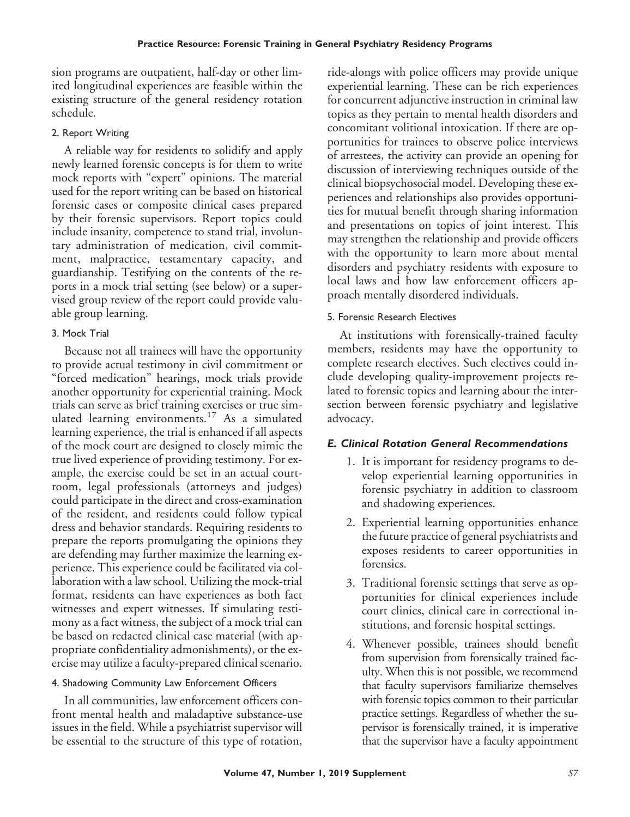sion programs are outpatient, half-day or other limited longitudinal experiences are feasible within the existing structure of the general residency rotation schedule.

## 2. Report Writing

A reliable way for residents to solidify and apply newly learned forensic concepts is for them to write mock reports with "expert" opinions. The material used for the report writing can be based on historical forensic cases or composite clinical cases prepared by their forensic supervisors. Report topics could include insanity, competence to stand trial, involuntary administration of medication, civil commitment, malpractice, testamentary capacity, and guardianship. Testifying on the contents of the reports in a mock trial setting (see below) or a supervised group review of the report could provide valuable group learning.

## 3. Mock Trial

Because not all trainees will have the opportunity to provide actual testimony in civil commitment or "forced medication" hearings, mock trials provide another opportunity for experiential training. Mock trials can serve as brief training exercises or true simulated learning environments.<sup>17</sup> As a simulated learning experience, the trial is enhanced if all aspects of the mock court are designed to closely mimic the true lived experience of providing testimony. For example, the exercise could be set in an actual courtroom, legal professionals (attorneys and judges) could participate in the direct and cross-examination of the resident, and residents could follow typical dress and behavior standards. Requiring residents to prepare the reports promulgating the opinions they are defending may further maximize the learning experience. This experience could be facilitated via collaboration with a law school. Utilizing the mock-trial format, residents can have experiences as both fact witnesses and expert witnesses. If simulating testimony as a fact witness, the subject of a mock trial can be based on redacted clinical case material (with appropriate confidentiality admonishments), or the exercise may utilize a faculty-prepared clinical scenario.

## 4. Shadowing Community Law Enforcement Officers

In all communities, law enforcement officers confront mental health and maladaptive substance-use issues in the field. While a psychiatrist supervisor will be essential to the structure of this type of rotation,

ride-alongs with police officers may provide unique experiential learning. These can be rich experiences for concurrent adjunctive instruction in criminal law topics as they pertain to mental health disorders and concomitant volitional intoxication. If there are opportunities for trainees to observe police interviews of arrestees, the activity can provide an opening for discussion of interviewing techniques outside of the clinical biopsychosocial model. Developing these experiences and relationships also provides opportunities for mutual benefit through sharing information and presentations on topics of joint interest. This may strengthen the relationship and provide officers with the opportunity to learn more about mental disorders and psychiatry residents with exposure to local laws and how law enforcement officers approach mentally disordered individuals.

## 5. Forensic Research Electives

At institutions with forensically-trained faculty members, residents may have the opportunity to complete research electives. Such electives could include developing quality-improvement projects related to forensic topics and learning about the intersection between forensic psychiatry and legislative advocacy.

## *E. Clinical Rotation General Recommendations*

- 1. It is important for residency programs to develop experiential learning opportunities in forensic psychiatry in addition to classroom and shadowing experiences.
- 2. Experiential learning opportunities enhance the future practice of general psychiatrists and exposes residents to career opportunities in forensics.
- 3. Traditional forensic settings that serve as opportunities for clinical experiences include court clinics, clinical care in correctional institutions, and forensic hospital settings.
- 4. Whenever possible, trainees should benefit from supervision from forensically trained faculty. When this is not possible, we recommend that faculty supervisors familiarize themselves with forensic topics common to their particular practice settings. Regardless of whether the supervisor is forensically trained, it is imperative that the supervisor have a faculty appointment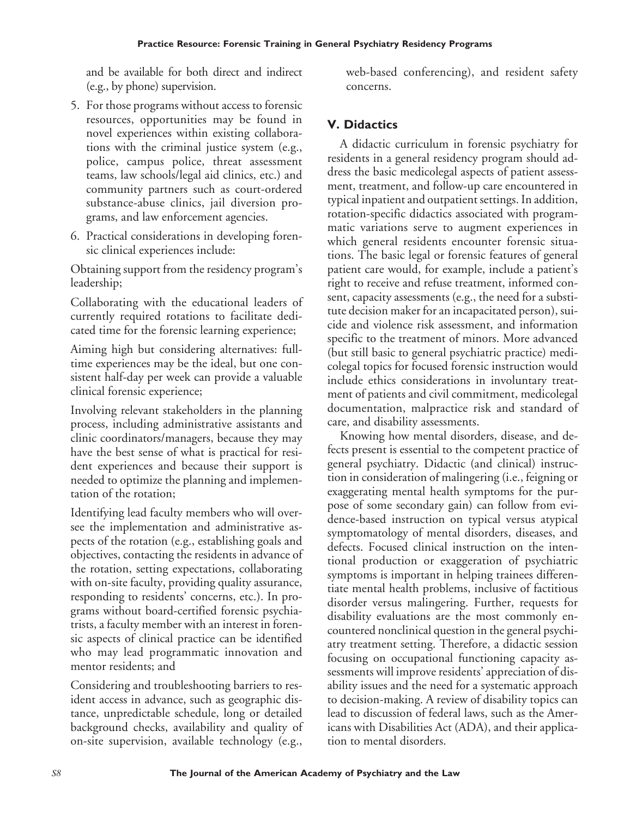and be available for both direct and indirect (e.g., by phone) supervision.

- 5. For those programs without access to forensic resources, opportunities may be found in novel experiences within existing collaborations with the criminal justice system (e.g., police, campus police, threat assessment teams, law schools/legal aid clinics, etc.) and community partners such as court-ordered substance-abuse clinics, jail diversion programs, and law enforcement agencies.
- 6. Practical considerations in developing forensic clinical experiences include:

Obtaining support from the residency program's leadership;

Collaborating with the educational leaders of currently required rotations to facilitate dedicated time for the forensic learning experience;

Aiming high but considering alternatives: fulltime experiences may be the ideal, but one consistent half-day per week can provide a valuable clinical forensic experience;

Involving relevant stakeholders in the planning process, including administrative assistants and clinic coordinators/managers, because they may have the best sense of what is practical for resident experiences and because their support is needed to optimize the planning and implementation of the rotation;

Identifying lead faculty members who will oversee the implementation and administrative aspects of the rotation (e.g., establishing goals and objectives, contacting the residents in advance of the rotation, setting expectations, collaborating with on-site faculty, providing quality assurance, responding to residents' concerns, etc.). In programs without board-certified forensic psychiatrists, a faculty member with an interest in forensic aspects of clinical practice can be identified who may lead programmatic innovation and mentor residents; and

Considering and troubleshooting barriers to resident access in advance, such as geographic distance, unpredictable schedule, long or detailed background checks, availability and quality of on-site supervision, available technology (e.g.,

web-based conferencing), and resident safety concerns.

# **V. Didactics**

A didactic curriculum in forensic psychiatry for residents in a general residency program should address the basic medicolegal aspects of patient assessment, treatment, and follow-up care encountered in typical inpatient and outpatient settings. In addition, rotation-specific didactics associated with programmatic variations serve to augment experiences in which general residents encounter forensic situations. The basic legal or forensic features of general patient care would, for example, include a patient's right to receive and refuse treatment, informed consent, capacity assessments (e.g., the need for a substitute decision maker for an incapacitated person), suicide and violence risk assessment, and information specific to the treatment of minors. More advanced (but still basic to general psychiatric practice) medicolegal topics for focused forensic instruction would include ethics considerations in involuntary treatment of patients and civil commitment, medicolegal documentation, malpractice risk and standard of care, and disability assessments.

Knowing how mental disorders, disease, and defects present is essential to the competent practice of general psychiatry. Didactic (and clinical) instruction in consideration of malingering (i.e., feigning or exaggerating mental health symptoms for the purpose of some secondary gain) can follow from evidence-based instruction on typical versus atypical symptomatology of mental disorders, diseases, and defects. Focused clinical instruction on the intentional production or exaggeration of psychiatric symptoms is important in helping trainees differentiate mental health problems, inclusive of factitious disorder versus malingering. Further, requests for disability evaluations are the most commonly encountered nonclinical question in the general psychiatry treatment setting. Therefore, a didactic session focusing on occupational functioning capacity assessments will improve residents' appreciation of disability issues and the need for a systematic approach to decision-making. A review of disability topics can lead to discussion of federal laws, such as the Americans with Disabilities Act (ADA), and their application to mental disorders.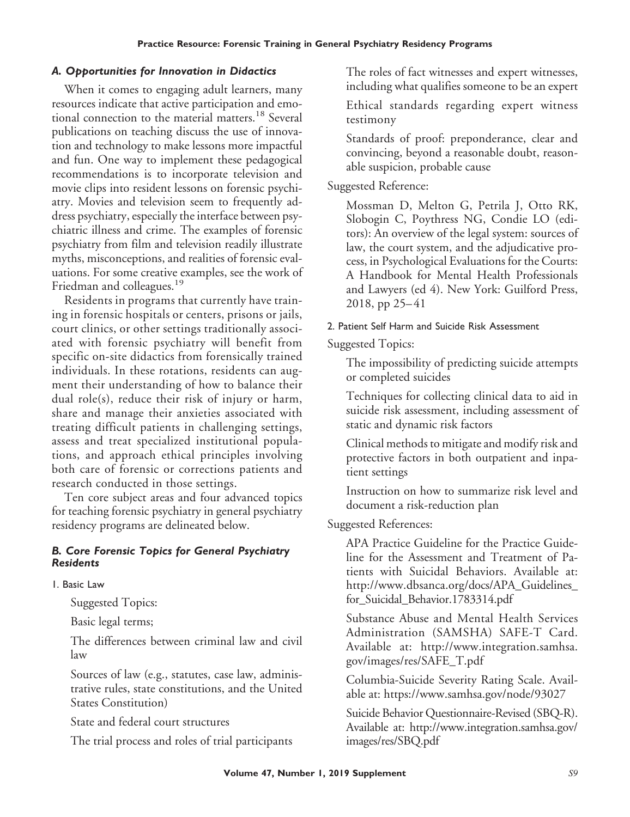#### *A. Opportunities for Innovation in Didactics*

When it comes to engaging adult learners, many resources indicate that active participation and emotional connection to the material matters.<sup>18</sup> Several publications on teaching discuss the use of innovation and technology to make lessons more impactful and fun. One way to implement these pedagogical recommendations is to incorporate television and movie clips into resident lessons on forensic psychiatry. Movies and television seem to frequently address psychiatry, especially the interface between psychiatric illness and crime. The examples of forensic psychiatry from film and television readily illustrate myths, misconceptions, and realities of forensic evaluations. For some creative examples, see the work of Friedman and colleagues.<sup>19</sup>

Residents in programs that currently have training in forensic hospitals or centers, prisons or jails, court clinics, or other settings traditionally associated with forensic psychiatry will benefit from specific on-site didactics from forensically trained individuals. In these rotations, residents can augment their understanding of how to balance their dual role(s), reduce their risk of injury or harm, share and manage their anxieties associated with treating difficult patients in challenging settings, assess and treat specialized institutional populations, and approach ethical principles involving both care of forensic or corrections patients and research conducted in those settings.

Ten core subject areas and four advanced topics for teaching forensic psychiatry in general psychiatry residency programs are delineated below.

#### *B. Core Forensic Topics for General Psychiatry Residents*

1. Basic Law

Suggested Topics:

Basic legal terms;

The differences between criminal law and civil law

Sources of law (e.g., statutes, case law, administrative rules, state constitutions, and the United States Constitution)

State and federal court structures

The trial process and roles of trial participants

The roles of fact witnesses and expert witnesses, including what qualifies someone to be an expert

Ethical standards regarding expert witness testimony

Standards of proof: preponderance, clear and convincing, beyond a reasonable doubt, reasonable suspicion, probable cause

## Suggested Reference:

Mossman D, Melton G, Petrila J, Otto RK, Slobogin C, Poythress NG, Condie LO (editors): An overview of the legal system: sources of law, the court system, and the adjudicative process, in Psychological Evaluations for the Courts: A Handbook for Mental Health Professionals and Lawyers (ed 4). New York: Guilford Press, 2018, pp 25– 41

#### 2. Patient Self Harm and Suicide Risk Assessment

Suggested Topics:

The impossibility of predicting suicide attempts or completed suicides

Techniques for collecting clinical data to aid in suicide risk assessment, including assessment of static and dynamic risk factors

Clinical methods to mitigate and modify risk and protective factors in both outpatient and inpatient settings

Instruction on how to summarize risk level and document a risk-reduction plan

Suggested References:

APA Practice Guideline for the Practice Guideline for the Assessment and Treatment of Patients with Suicidal Behaviors. Available at: [http://www.dbsanca.org/docs/APA\\_Guidelines\\_](http://www.dbsanca.org/docs/APA_Guidelines_for_Suicidal_Behavior.1783314.pdf) [for\\_Suicidal\\_Behavior.1783314.pdf](http://www.dbsanca.org/docs/APA_Guidelines_for_Suicidal_Behavior.1783314.pdf)

Substance Abuse and Mental Health Services Administration (SAMSHA) SAFE-T Card. Available at: [http://www.integration.samhsa.](http://www.integration.samhsa.gov/images/res/SAFE_T.pdf) [gov/images/res/SAFE\\_T.pdf](http://www.integration.samhsa.gov/images/res/SAFE_T.pdf)

Columbia-Suicide Severity Rating Scale. Available at: https://www.samhsa.gov/node/93027

Suicide Behavior Questionnaire-Revised (SBQ-R). Available at: [http://www.integration.samhsa.gov/](http://www.integration.samhsa.gov/images/res/SBQ.pdf) [images/res/SBQ.pdf](http://www.integration.samhsa.gov/images/res/SBQ.pdf)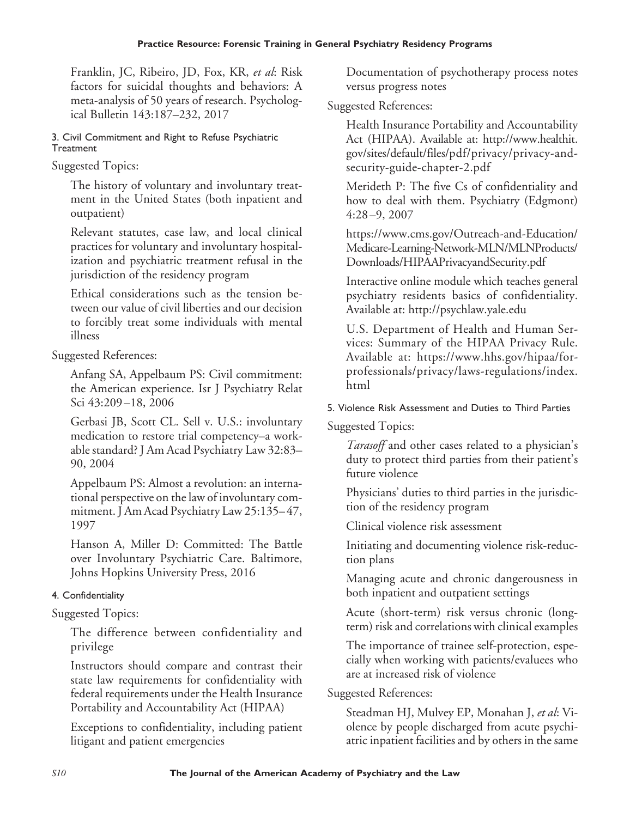Franklin, JC, Ribeiro, JD, Fox, KR, *et al*: Risk factors for suicidal thoughts and behaviors: A meta-analysis of 50 years of research. Psychological Bulletin 143:187–232, 2017

#### 3. Civil Commitment and Right to Refuse Psychiatric **Treatment**

## Suggested Topics:

The history of voluntary and involuntary treatment in the United States (both inpatient and outpatient)

Relevant statutes, case law, and local clinical practices for voluntary and involuntary hospitalization and psychiatric treatment refusal in the jurisdiction of the residency program

Ethical considerations such as the tension between our value of civil liberties and our decision to forcibly treat some individuals with mental illness

Suggested References:

Anfang SA, Appelbaum PS: Civil commitment: the American experience. Isr J Psychiatry Relat Sci 43:209 –18, 2006

Gerbasi JB, Scott CL. Sell v. U.S.: involuntary medication to restore trial competency–a workable standard? J Am Acad Psychiatry Law 32:83– 90, 2004

Appelbaum PS: Almost a revolution: an international perspective on the law of involuntary commitment. J Am Acad Psychiatry Law 25:135– 47, 1997

Hanson A, Miller D: Committed: The Battle over Involuntary Psychiatric Care. Baltimore, Johns Hopkins University Press, 2016

# 4. Confidentiality

# Suggested Topics:

The difference between confidentiality and privilege

Instructors should compare and contrast their state law requirements for confidentiality with federal requirements under the Health Insurance Portability and Accountability Act (HIPAA)

Exceptions to confidentiality, including patient litigant and patient emergencies

Documentation of psychotherapy process notes versus progress notes

## Suggested References:

Health Insurance Portability and Accountability Act (HIPAA). Available at: [http://www.healthit.](http://www.healthit.gov/sites/default/files/pdf/privacy/privacy-and-security-guide-chapter-2.pdf) [gov/sites/default/files/pdf/privacy/privacy-and](http://www.healthit.gov/sites/default/files/pdf/privacy/privacy-and-security-guide-chapter-2.pdf)[security-guide-chapter-2.pdf](http://www.healthit.gov/sites/default/files/pdf/privacy/privacy-and-security-guide-chapter-2.pdf)

Merideth P: The five Cs of confidentiality and how to deal with them. Psychiatry (Edgmont) 4:28 –9, 2007

[https://www.cms.gov/Outreach-and-Education/](https://www.cms.gov/Outreach-and-Education/Medicare-Learning-Network-MLN/MLNProducts/Downloads/HIPAAPrivacyandSecurity.pdf) [Medicare-Learning-Network-MLN/MLNProducts/](https://www.cms.gov/Outreach-and-Education/Medicare-Learning-Network-MLN/MLNProducts/Downloads/HIPAAPrivacyandSecurity.pdf) [Downloads/HIPAAPrivacyandSecurity.pdf](https://www.cms.gov/Outreach-and-Education/Medicare-Learning-Network-MLN/MLNProducts/Downloads/HIPAAPrivacyandSecurity.pdf)

Interactive online module which teaches general psychiatry residents basics of confidentiality. Available at: http://psychlaw.yale.edu

U.S. Department of Health and Human Services: Summary of the HIPAA Privacy Rule. Available at: [https://www.hhs.gov/hipaa/for](https://www.hhs.gov/hipaa/for-professionals/privacy/laws-regulations/index.html)[professionals/privacy/laws-regulations/index.](https://www.hhs.gov/hipaa/for-professionals/privacy/laws-regulations/index.html) [html](https://www.hhs.gov/hipaa/for-professionals/privacy/laws-regulations/index.html)

## 5. Violence Risk Assessment and Duties to Third Parties

Suggested Topics:

*Tarasoff* and other cases related to a physician's duty to protect third parties from their patient's future violence

Physicians' duties to third parties in the jurisdiction of the residency program

Clinical violence risk assessment

Initiating and documenting violence risk-reduction plans

Managing acute and chronic dangerousness in both inpatient and outpatient settings

Acute (short-term) risk versus chronic (longterm) risk and correlations with clinical examples

The importance of trainee self-protection, especially when working with patients/evaluees who are at increased risk of violence

Suggested References:

Steadman HJ, Mulvey EP, Monahan J, *et al*: Violence by people discharged from acute psychiatric inpatient facilities and by others in the same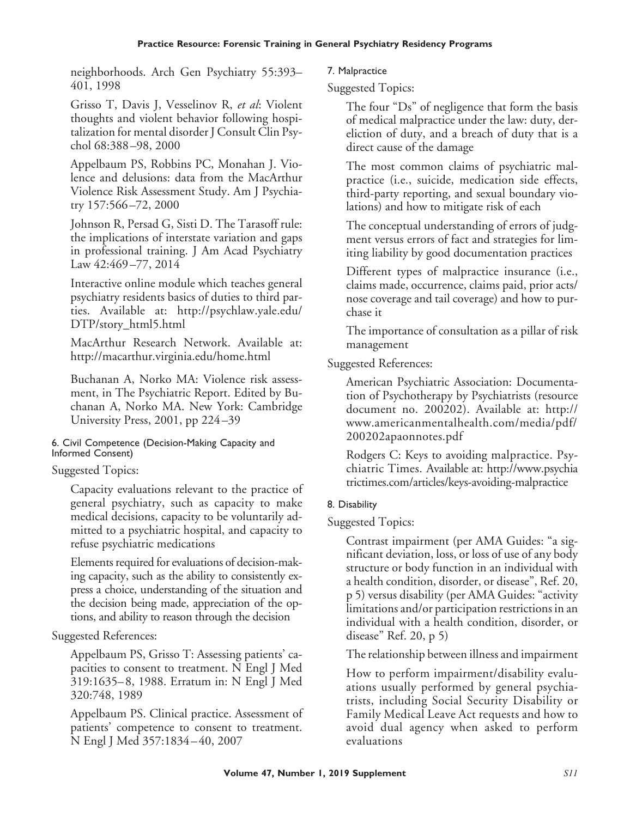neighborhoods. Arch Gen Psychiatry 55:393– 401, 1998

Grisso T, Davis J, Vesselinov R, *et al*: Violent thoughts and violent behavior following hospitalization for mental disorder J Consult Clin Psychol 68:388 –98, 2000

Appelbaum PS, Robbins PC, Monahan J. Violence and delusions: data from the MacArthur Violence Risk Assessment Study. Am J Psychiatry 157:566 –72, 2000

Johnson R, Persad G, Sisti D. The Tarasoff rule: the implications of interstate variation and gaps in professional training. J Am Acad Psychiatry Law 42:469 –77, 2014

Interactive online module which teaches general psychiatry residents basics of duties to third parties. Available at: [http://psychlaw.yale.edu/](http://psychlaw.yale.edu/DTP/story_html5.html) [DTP/story\\_html5.html](http://psychlaw.yale.edu/DTP/story_html5.html)

MacArthur Research Network. Available at: <http://macarthur.virginia.edu/home.html>

Buchanan A, Norko MA: Violence risk assessment, in The Psychiatric Report. Edited by Buchanan A, Norko MA. New York: Cambridge University Press, 2001, pp 224 –39

#### 6. Civil Competence (Decision-Making Capacity and Informed Consent)

## Suggested Topics:

Capacity evaluations relevant to the practice of general psychiatry, such as capacity to make medical decisions, capacity to be voluntarily admitted to a psychiatric hospital, and capacity to refuse psychiatric medications

Elements required for evaluations of decision-making capacity, such as the ability to consistently express a choice, understanding of the situation and the decision being made, appreciation of the options, and ability to reason through the decision

Suggested References:

Appelbaum PS, Grisso T: Assessing patients' capacities to consent to treatment. N Engl J Med 319:1635– 8, 1988. Erratum in: N Engl J Med 320:748, 1989

Appelbaum PS. Clinical practice. Assessment of patients' competence to consent to treatment. N Engl J Med 357:1834 – 40, 2007

## 7. Malpractice

Suggested Topics:

The four "Ds" of negligence that form the basis of medical malpractice under the law: duty, dereliction of duty, and a breach of duty that is a direct cause of the damage

The most common claims of psychiatric malpractice (i.e., suicide, medication side effects, third-party reporting, and sexual boundary violations) and how to mitigate risk of each

The conceptual understanding of errors of judgment versus errors of fact and strategies for limiting liability by good documentation practices

Different types of malpractice insurance (i.e., claims made, occurrence, claims paid, prior acts/ nose coverage and tail coverage) and how to purchase it

The importance of consultation as a pillar of risk management

Suggested References:

American Psychiatric Association: Documentation of Psychotherapy by Psychiatrists (resource document no. 200202). Available at: [http://](http://www.americanmentalhealth.com/media/pdf/200202apaonnotes.pdf) [www.americanmentalhealth.com/media/pdf/](http://www.americanmentalhealth.com/media/pdf/200202apaonnotes.pdf) [200202apaonnotes.pdf](http://www.americanmentalhealth.com/media/pdf/200202apaonnotes.pdf)

Rodgers C: Keys to avoiding malpractice. Psychiatric Times. Available at: [http://www.psychia](http://www.psychiatrictimes.com/articles/keys-avoiding-malpractice) [trictimes.com/articles/keys-avoiding-malpractice](http://www.psychiatrictimes.com/articles/keys-avoiding-malpractice)

## 8. Disability

Suggested Topics:

Contrast impairment (per AMA Guides: "a significant deviation, loss, or loss of use of any body structure or body function in an individual with a health condition, disorder, or disease", Ref. 20, p 5) versus disability (per AMA Guides: "activity limitations and/or participation restrictions in an individual with a health condition, disorder, or disease" Ref. 20, p 5)

The relationship between illness and impairment

How to perform impairment/disability evaluations usually performed by general psychiatrists, including Social Security Disability or Family Medical Leave Act requests and how to avoid dual agency when asked to perform evaluations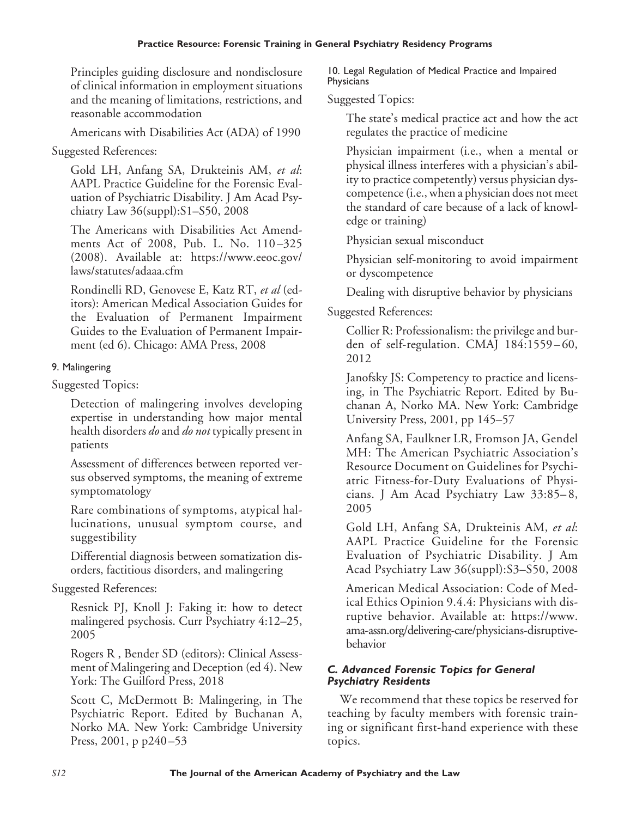Principles guiding disclosure and nondisclosure of clinical information in employment situations and the meaning of limitations, restrictions, and reasonable accommodation

Americans with Disabilities Act (ADA) of 1990

Suggested References:

Gold LH, Anfang SA, Drukteinis AM, *et al*: AAPL Practice Guideline for the Forensic Evaluation of Psychiatric Disability. J Am Acad Psychiatry Law 36(suppl):S1–S50, 2008

The Americans with Disabilities Act Amendments Act of 2008, Pub. L. No. 110-325 (2008). Available at: [https://www.eeoc.gov/](https://www.eeoc.gov/laws/statutes/adaaa.cfm) [laws/statutes/adaaa.cfm](https://www.eeoc.gov/laws/statutes/adaaa.cfm)

Rondinelli RD, Genovese E, Katz RT, *et al* (editors): American Medical Association Guides for the Evaluation of Permanent Impairment Guides to the Evaluation of Permanent Impairment (ed 6). Chicago: AMA Press, 2008

# 9. Malingering

Suggested Topics:

Detection of malingering involves developing expertise in understanding how major mental health disorders *do* and *do not* typically present in patients

Assessment of differences between reported versus observed symptoms, the meaning of extreme symptomatology

Rare combinations of symptoms, atypical hallucinations, unusual symptom course, and suggestibility

Differential diagnosis between somatization disorders, factitious disorders, and malingering

# Suggested References:

Resnick PJ, Knoll J: Faking it: how to detect malingered psychosis. Curr Psychiatry 4:12–25, 2005

Rogers R , Bender SD (editors): Clinical Assessment of Malingering and Deception (ed 4). New York: The Guilford Press, 2018

Scott C, McDermott B: Malingering, in The Psychiatric Report. Edited by Buchanan A, Norko MA. New York: Cambridge University Press, 2001, p p240 –53

10. Legal Regulation of Medical Practice and Impaired **Physicians** 

Suggested Topics:

The state's medical practice act and how the act regulates the practice of medicine

Physician impairment (i.e., when a mental or physical illness interferes with a physician's ability to practice competently) versus physician dyscompetence (i.e., when a physician does not meet the standard of care because of a lack of knowledge or training)

Physician sexual misconduct

Physician self-monitoring to avoid impairment or dyscompetence

Dealing with disruptive behavior by physicians

Suggested References:

Collier R: Professionalism: the privilege and burden of self-regulation. CMAJ 184:1559-60, 2012

Janofsky JS: Competency to practice and licensing, in The Psychiatric Report. Edited by Buchanan A, Norko MA. New York: Cambridge University Press, 2001, pp 145–57

Anfang SA, Faulkner LR, Fromson JA, Gendel MH: The American Psychiatric Association's Resource Document on Guidelines for Psychiatric Fitness-for-Duty Evaluations of Physicians. J Am Acad Psychiatry Law 33:85– 8, 2005

Gold LH, Anfang SA, Drukteinis AM, *et al*: AAPL Practice Guideline for the Forensic Evaluation of Psychiatric Disability. J Am Acad Psychiatry Law 36(suppl):S3–S50, 2008

American Medical Association: Code of Medical Ethics Opinion 9.4.4: Physicians with disruptive behavior. Available at: [https://www.](https://www.ama-assn.org/delivering-care/physicians-disruptive-behavior) [ama-assn.org/delivering-care/physicians-disruptive](https://www.ama-assn.org/delivering-care/physicians-disruptive-behavior)[behavior](https://www.ama-assn.org/delivering-care/physicians-disruptive-behavior)

## *C. Advanced Forensic Topics for General Psychiatry Residents*

We recommend that these topics be reserved for teaching by faculty members with forensic training or significant first-hand experience with these topics.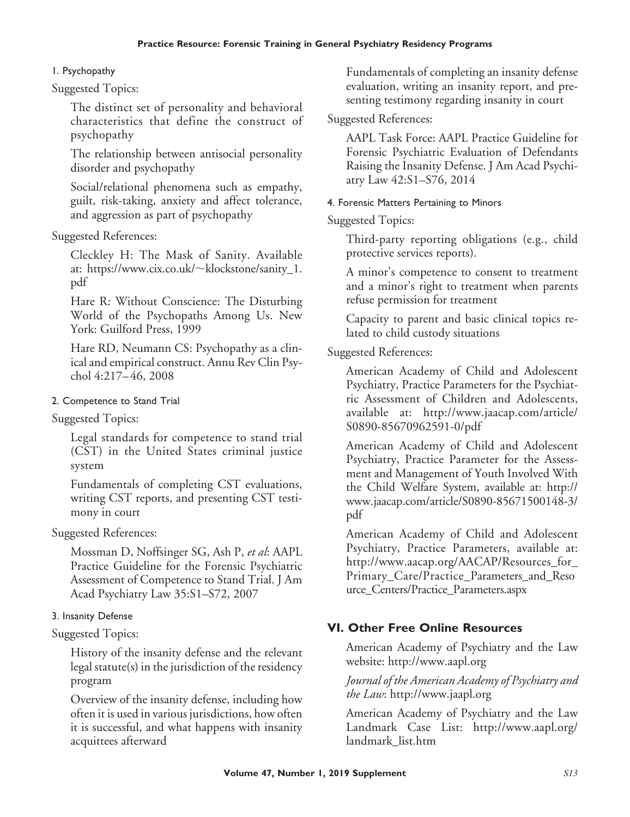## 1. Psychopathy

Suggested Topics:

The distinct set of personality and behavioral characteristics that define the construct of psychopathy

The relationship between antisocial personality disorder and psychopathy

Social/relational phenomena such as empathy, guilt, risk-taking, anxiety and affect tolerance, and aggression as part of psychopathy

#### Suggested References:

Cleckley H: The Mask of Sanity. Available at: [https://www.cix.co.uk/](https://www.cix.co.uk/∼klockstone/sanity_1.pdf)~klockstone/sanity\_1. [pdf](https://www.cix.co.uk/∼klockstone/sanity_1.pdf)

Hare R: Without Conscience: The Disturbing World of the Psychopaths Among Us. New York: Guilford Press, 1999

Hare RD, Neumann CS: Psychopathy as a clinical and empirical construct. Annu Rev Clin Psychol 4:217– 46, 2008

#### 2. Competence to Stand Trial

#### Suggested Topics:

Legal standards for competence to stand trial (CST) in the United States criminal justice system

Fundamentals of completing CST evaluations, writing CST reports, and presenting CST testimony in court

#### Suggested References:

Mossman D, Noffsinger SG, Ash P, *et al*: AAPL Practice Guideline for the Forensic Psychiatric Assessment of Competence to Stand Trial. J Am Acad Psychiatry Law 35:S1–S72, 2007

#### 3. Insanity Defense

## Suggested Topics:

History of the insanity defense and the relevant legal statute(s) in the jurisdiction of the residency program

Overview of the insanity defense, including how often it is used in various jurisdictions, how often it is successful, and what happens with insanity acquittees afterward

Fundamentals of completing an insanity defense evaluation, writing an insanity report, and presenting testimony regarding insanity in court

## Suggested References:

AAPL Task Force: AAPL Practice Guideline for Forensic Psychiatric Evaluation of Defendants Raising the Insanity Defense. J Am Acad Psychiatry Law 42:S1–S76, 2014

#### 4. Forensic Matters Pertaining to Minors

Suggested Topics:

Third-party reporting obligations (e.g., child protective services reports).

A minor's competence to consent to treatment and a minor's right to treatment when parents refuse permission for treatment

Capacity to parent and basic clinical topics related to child custody situations

## Suggested References:

American Academy of Child and Adolescent Psychiatry, Practice Parameters for the Psychiatric Assessment of Children and Adolescents, available at: [http://www.jaacap.com/article/](http://www.jaacap.com/article/S0890-85670962591-0/pdf) [S0890-85670962591-0/pdf](http://www.jaacap.com/article/S0890-85670962591-0/pdf)

American Academy of Child and Adolescent Psychiatry, Practice Parameter for the Assessment and Management of Youth Involved With the Child Welfare System, available at: [http://](http://www.jaacap.com/article/S0890-85671500148-3/pdf) [www.jaacap.com/article/S0890-85671500148-3/](http://www.jaacap.com/article/S0890-85671500148-3/pdf) [pdf](http://www.jaacap.com/article/S0890-85671500148-3/pdf)

American Academy of Child and Adolescent Psychiatry, Practice Parameters, available at: [http://www.aacap.org/AACAP/Resources\\_for\\_](http://www.aacap.org/AACAP/Resources_for_Primary_Care/Practice_Parameters_and_Resource_Centers/Practice_Parameters.aspx) [Primary\\_Care/Practice\\_Parameters\\_and\\_Reso](http://www.aacap.org/AACAP/Resources_for_Primary_Care/Practice_Parameters_and_Resource_Centers/Practice_Parameters.aspx) [urce\\_Centers/Practice\\_Parameters.aspx](http://www.aacap.org/AACAP/Resources_for_Primary_Care/Practice_Parameters_and_Resource_Centers/Practice_Parameters.aspx)

# **VI. Other Free Online Resources**

American Academy of Psychiatry and the Law website:<http://www.aapl.org>

## *Journal of the American Academy of Psychiatry and the Law*:<http://www.jaapl.org>

American Academy of Psychiatry and the Law Landmark Case List: [http://www.aapl.org/](http://www.aapl.org/landmark_list.htm) [landmark\\_list.htm](http://www.aapl.org/landmark_list.htm)